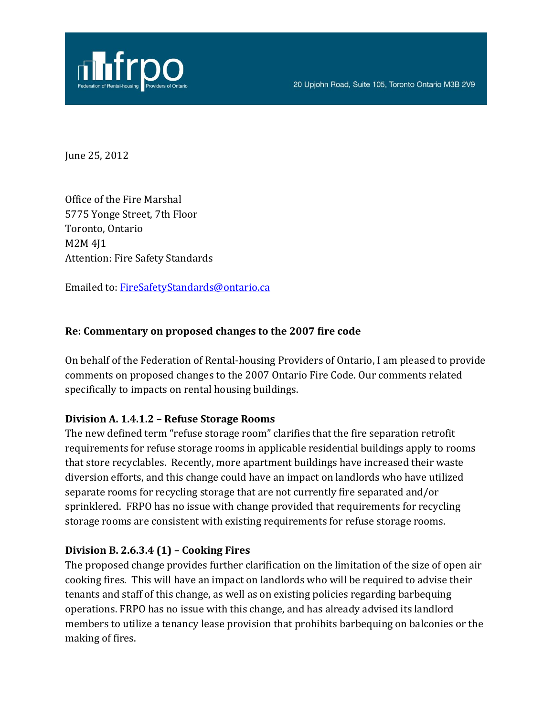

June 25, 2012

Office of the Fire Marshal 5775 Yonge Street, 7th Floor Toronto, Ontario M2M 4J1 Attention: Fire Safety Standards

Emailed to[: FireSafetyStandards@ontario.ca](mailto:FireSafetyStandards@ontario.ca)

#### **Re: Commentary on proposed changes to the 2007 fire code**

On behalf of the Federation of Rental-housing Providers of Ontario, I am pleased to provide comments on proposed changes to the 2007 Ontario Fire Code. Our comments related specifically to impacts on rental housing buildings.

#### **Division A. 1.4.1.2 – Refuse Storage Rooms**

The new defined term "refuse storage room" clarifies that the fire separation retrofit requirements for refuse storage rooms in applicable residential buildings apply to rooms that store recyclables. Recently, more apartment buildings have increased their waste diversion efforts, and this change could have an impact on landlords who have utilized separate rooms for recycling storage that are not currently fire separated and/or sprinklered. FRPO has no issue with change provided that requirements for recycling storage rooms are consistent with existing requirements for refuse storage rooms.

#### **Division B. 2.6.3.4 (1) – Cooking Fires**

The proposed change provides further clarification on the limitation of the size of open air cooking fires. This will have an impact on landlords who will be required to advise their tenants and staff of this change, as well as on existing policies regarding barbequing operations. FRPO has no issue with this change, and has already advised its landlord members to utilize a tenancy lease provision that prohibits barbequing on balconies or the making of fires.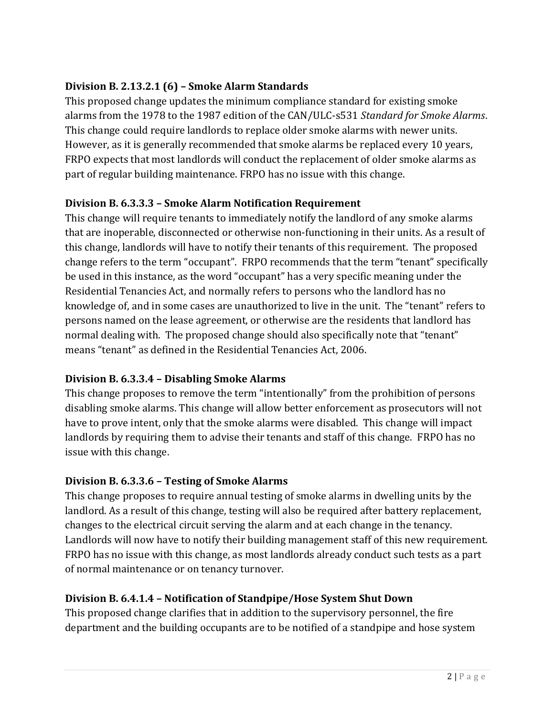## **Division B. 2.13.2.1 (6) – Smoke Alarm Standards**

This proposed change updates the minimum compliance standard for existing smoke alarms from the 1978 to the 1987 edition of the CAN/ULC-s531 *Standard for Smoke Alarms*. This change could require landlords to replace older smoke alarms with newer units. However, as it is generally recommended that smoke alarms be replaced every 10 years, FRPO expects that most landlords will conduct the replacement of older smoke alarms as part of regular building maintenance. FRPO has no issue with this change.

### **Division B. 6.3.3.3 – Smoke Alarm Notification Requirement**

This change will require tenants to immediately notify the landlord of any smoke alarms that are inoperable, disconnected or otherwise non-functioning in their units. As a result of this change, landlords will have to notify their tenants of this requirement. The proposed change refers to the term "occupant". FRPO recommends that the term "tenant" specifically be used in this instance, as the word "occupant" has a very specific meaning under the Residential Tenancies Act, and normally refers to persons who the landlord has no knowledge of, and in some cases are unauthorized to live in the unit. The "tenant" refers to persons named on the lease agreement, or otherwise are the residents that landlord has normal dealing with. The proposed change should also specifically note that "tenant" means "tenant" as defined in the Residential Tenancies Act, 2006.

### **Division B. 6.3.3.4 – Disabling Smoke Alarms**

This change proposes to remove the term "intentionally" from the prohibition of persons disabling smoke alarms. This change will allow better enforcement as prosecutors will not have to prove intent, only that the smoke alarms were disabled. This change will impact landlords by requiring them to advise their tenants and staff of this change. FRPO has no issue with this change.

# **Division B. 6.3.3.6 – Testing of Smoke Alarms**

This change proposes to require annual testing of smoke alarms in dwelling units by the landlord. As a result of this change, testing will also be required after battery replacement, changes to the electrical circuit serving the alarm and at each change in the tenancy. Landlords will now have to notify their building management staff of this new requirement. FRPO has no issue with this change, as most landlords already conduct such tests as a part of normal maintenance or on tenancy turnover.

### **Division B. 6.4.1.4 – Notification of Standpipe/Hose System Shut Down**

This proposed change clarifies that in addition to the supervisory personnel, the fire department and the building occupants are to be notified of a standpipe and hose system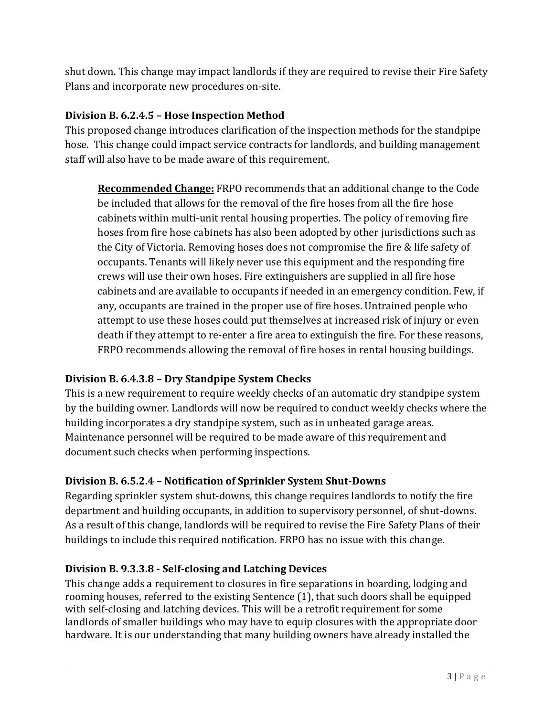shut down. This change may impact landlords if they are required to revise their Fire Safety Plans and incorporate new procedures on-site.

## **Division B. 6.2.4.5 – Hose Inspection Method**

This proposed change introduces clarification of the inspection methods for the standpipe hose. This change could impact service contracts for landlords, and building management staff will also have to be made aware of this requirement.

**Recommended Change:** FRPO recommends that an additional change to the Code be included that allows for the removal of the fire hoses from all the fire hose cabinets within multi-unit rental housing properties. The policy of removing fire hoses from fire hose cabinets has also been adopted by other jurisdictions such as the City of Victoria. Removing hoses does not compromise the fire & life safety of occupants. Tenants will likely never use this equipment and the responding fire crews will use their own hoses. Fire extinguishers are supplied in all fire hose cabinets and are available to occupants if needed in an emergency condition. Few, if any, occupants are trained in the proper use of fire hoses. Untrained people who attempt to use these hoses could put themselves at increased risk of injury or even death if they attempt to re-enter a fire area to extinguish the fire. For these reasons, FRPO recommends allowing the removal of fire hoses in rental housing buildings.

# **Division B. 6.4.3.8 – Dry Standpipe System Checks**

This is a new requirement to require weekly checks of an automatic dry standpipe system by the building owner. Landlords will now be required to conduct weekly checks where the building incorporates a dry standpipe system, such as in unheated garage areas. Maintenance personnel will be required to be made aware of this requirement and document such checks when performing inspections.

# **Division B. 6.5.2.4 – Notification of Sprinkler System Shut-Downs**

Regarding sprinkler system shut-downs, this change requires landlords to notify the fire department and building occupants, in addition to supervisory personnel, of shut-downs. As a result of this change, landlords will be required to revise the Fire Safety Plans of their buildings to include this required notification. FRPO has no issue with this change.

### **Division B. 9.3.3.8 - Self-closing and Latching Devices**

This change adds a requirement to closures in fire separations in boarding, lodging and rooming houses, referred to the existing Sentence (1), that such doors shall be equipped with self-closing and latching devices. This will be a retrofit requirement for some landlords of smaller buildings who may have to equip closures with the appropriate door hardware. It is our understanding that many building owners have already installed the